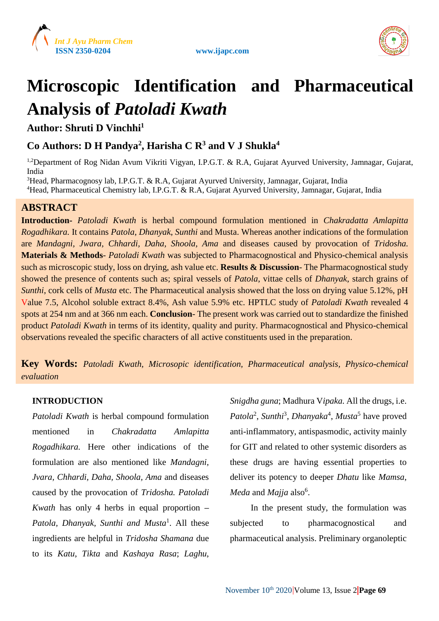





# **Microscopic Identification and Pharmaceutical Analysis of** *Patoladi Kwath*

**Author: Shruti D Vinchhi<sup>1</sup>**

# **Co Authors: D H Pandya<sup>2</sup> , Harisha C R<sup>3</sup> and V J Shukla<sup>4</sup>**

<sup>1,2</sup>Department of Rog Nidan Avum Vikriti Vigyan, I.P.G.T. & R.A, Gujarat Ayurved University, Jamnagar, Gujarat, India

<sup>3</sup>Head, Pharmacognosy lab, I.P.G.T. & R.A, Gujarat Ayurved University, Jamnagar, Gujarat, India

<sup>4</sup>Head, Pharmaceutical Chemistry lab, I.P.G.T. & R.A, Gujarat Ayurved University, Jamnagar, Gujarat, India

# **ABSTRACT**

**Introduction-** *Patoladi Kwath* is herbal compound formulation mentioned in *Chakradatta Amlapitta Rogadhikara.* It contains *Patola*, *Dhanyak*, *Sunthi* and Musta. Whereas another indications of the formulation are *Mandagni, Jwara, Chhardi, Daha, Shoola, Ama* and diseases caused by provocation of *Tridosha.* **Materials & Methods**- *Patoladi Kwath* was subjected to Pharmacognostical and Physico-chemical analysis such as microscopic study, loss on drying, ash value etc. **Results & Discussion**- The Pharmacognostical study showed the presence of contents such as; spiral vessels of *Patola*, vittae cells of *Dhanyak*, starch grains of *Sunthi*, cork cells of *Musta* etc. The Pharmaceutical analysis showed that the loss on drying value 5.12%, pH Value 7.5, Alcohol soluble extract 8.4%, Ash value 5.9% etc. HPTLC study of *Patoladi Kwath* revealed 4 spots at 254 nm and at 366 nm each. **Conclusion**- The present work was carried out to standardize the finished product *Patoladi Kwath* in terms of its identity, quality and purity. Pharmacognostical and Physico-chemical observations revealed the specific characters of all active constituents used in the preparation.

**Key Words:** *Patoladi Kwath, Microsopic identification, Pharmaceutical analysis, Physico-chemical evaluation*

## **INTRODUCTION**

*Patoladi Kwath* is herbal compound formulation mentioned in *Chakradatta Amlapitta Rogadhikara.* Here other indications of the formulation are also mentioned like *Mandagni, Jvara, Chhardi, Daha, Shoola, Ama* and diseases caused by the provocation of *Tridosha. Patoladi Kwath* has only 4 herbs in equal proportion **–** *Patola, Dhanyak, Sunthi and Musta*<sup>1</sup> . All these ingredients are helpful in *Tridosha Shamana* due to its *Katu*, *Tikta* and *Kashaya Rasa*; *Laghu*, *Snigdha guna*; Madhura V*ipaka.* All the drugs, i.e. Patola<sup>2</sup>, Sunthi<sup>3</sup>, Dhanyaka<sup>4</sup>, Musta<sup>5</sup> have proved anti-inflammatory, antispasmodic, activity mainly for GIT and related to other systemic disorders as these drugs are having essential properties to deliver its potency to deeper *Dhatu* like *Mamsa*, *Meda* and *Majja* also<sup>6</sup>.

In the present study, the formulation was subjected to pharmacognostical and pharmaceutical analysis. Preliminary organoleptic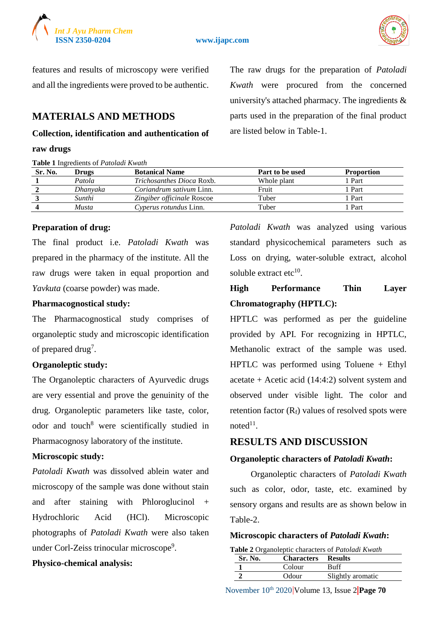

**ISSN 2350-0204 www.ijapc.com**



features and results of microscopy were verified and all the ingredients were proved to be authentic.

# **MATERIALS AND METHODS**

#### **Collection, identification and authentication of**

#### **raw drugs**

**Table 1** Ingredients of *Patoladi Kwath*

The raw drugs for the preparation of *Patoladi Kwath* were procured from the concerned university's attached pharmacy. The ingredients  $\&$ parts used in the preparation of the final product are listed below in Table-1.

| Sr. No. | Drugs    | <b>Botanical Name</b>            | Part to be used | <b>Proportion</b> |
|---------|----------|----------------------------------|-----------------|-------------------|
|         | Patola   | <i>Trichosanthes Dioca Roxb.</i> | Whole plant     | l Part            |
|         | Dhanyaka | <i>Coriandrum sativum Linn.</i>  | Fruit           | Part              |
|         | Sunthi   | Zingiber officinale Roscoe       | Tuber           | l Part            |
|         | Musta    | Cyperus rotundus Linn.           | Tuber           | Part              |
|         |          |                                  |                 |                   |

#### **Preparation of drug:**

The final product i.e. *Patoladi Kwath* was prepared in the pharmacy of the institute. All the raw drugs were taken in equal proportion and *Yavkuta* (coarse powder) was made.

#### **Pharmacognostical study:**

The Pharmacognostical study comprises of organoleptic study and microscopic identification of prepared drug<sup>7</sup>.

#### **Organoleptic study:**

The Organoleptic characters of Ayurvedic drugs are very essential and prove the genuinity of the drug. Organoleptic parameters like taste, color, odor and touch<sup>8</sup> were scientifically studied in Pharmacognosy laboratory of the institute.

#### **Microscopic study:**

*Patoladi Kwath* was dissolved ablein water and microscopy of the sample was done without stain and after staining with Phloroglucinol + Hydrochloric Acid (HCl). Microscopic photographs of *Patoladi Kwath* were also taken under Corl-Zeiss trinocular microscope<sup>9</sup>.

#### **Physico-chemical analysis:**

*Patoladi Kwath* was analyzed using various standard physicochemical parameters such as Loss on drying, water-soluble extract, alcohol soluble extract etc<sup>10</sup>.

# **High Performance Thin Layer Chromatography (HPTLC):**

HPTLC was performed as per the guideline provided by API. For recognizing in HPTLC, Methanolic extract of the sample was used. HPTLC was performed using Toluene + Ethyl acetate + Acetic acid  $(14:4:2)$  solvent system and observed under visible light. The color and retention factor  $(R_f)$  values of resolved spots were  $noted<sup>11</sup>$ .

#### **RESULTS AND DISCUSSION**

#### **Organoleptic characters of** *Patoladi Kwath***:**

Organoleptic characters of *Patoladi Kwath* such as color, odor, taste, etc. examined by sensory organs and results are as shown below in Table-2.

#### **Microscopic characters of** *Patoladi Kwath***:**

**Table 2** Organoleptic characters of *Patoladi Kwath*

| Sr. No. | <b>Characters</b> | <b>Results</b>    |
|---------|-------------------|-------------------|
|         | Colour            | Ruff              |
|         | Odour             | Slightly aromatic |

November 10th 2020 Volume 13, Issue 2 **Page 70**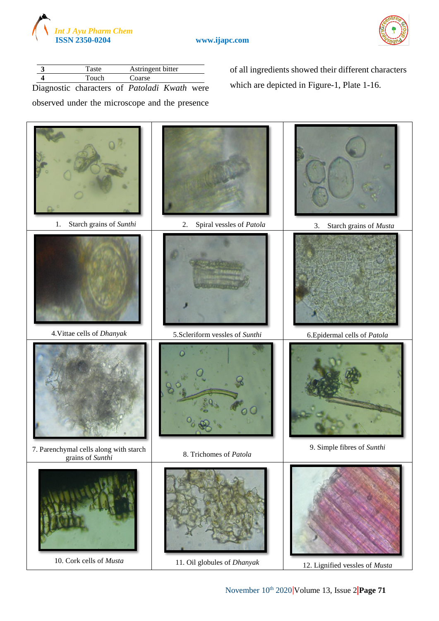



|  | Taste                                        | Astringent bitter |  |
|--|----------------------------------------------|-------------------|--|
|  | Touch                                        | Coarse            |  |
|  | Diagnostic characters of Patoladi Kwath were |                   |  |

observed under the microscope and the presence

of all ingredients showed their different characters which are depicted in Figure-1, Plate 1-16.

1. Starch grains of *Sunthi* 2. Spiral vessles of *Patola* 3. Starch grains of *Musta* 4.Vittae cells of *Dhanyak* 5.Scleriform vessles of *Sunthi* 6.Epidermal cells of *Patola* 7. Parenchymal cells along with starch grains of *Sunthi* 8. Trichomes of *Patola* 9. Simple fibres of *Sunthi* 10. Cork cells of *Musta* 11. Oil globules of *Dhanyak* 12. Lignified vessles of *Musta*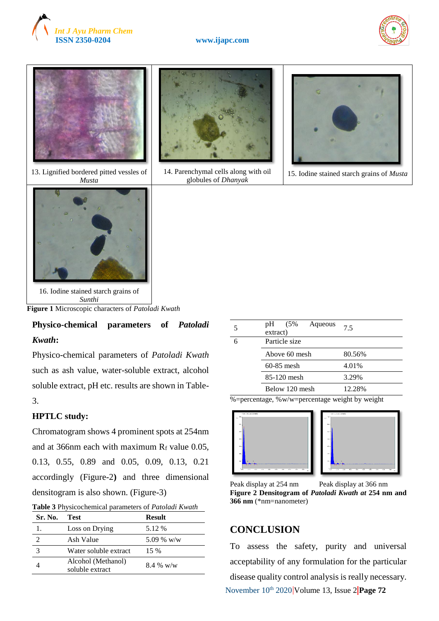





13. Lignified bordered pitted vessles of *Musta*





14. Parenchymal cells along with oil globules of *Dhanyak*



15. Iodine stained starch grains of *Musta*

16. Iodine stained starch grains of *Sunthi*

**Figure 1** Microscopic characters of *Patoladi Kwath*

**Physico-chemical parameters of** *Patoladi Kwath***:**

Physico-chemical parameters of *Patoladi Kwath* such as ash value, water-soluble extract, alcohol soluble extract, pH etc. results are shown in Table-3.

#### **HPTLC study:**

Chromatogram shows 4 prominent spots at 254nm and at 366nm each with maximum  $R_f$  value 0.05, 0.13, 0.55, 0.89 and 0.05, 0.09, 0.13, 0.21 accordingly (Figure-2**)** and three dimensional densitogram is also shown. (Figure-3)

|  | Table 3 Physicochemical parameters of Patoladi Kwath |
|--|------------------------------------------------------|
|--|------------------------------------------------------|

| Sr. No. | Test.                                 | <b>Result</b> |
|---------|---------------------------------------|---------------|
| 1.      | Loss on Drying                        | 5.12 %        |
| っ       | Ash Value                             | 5.09 % w/w    |
|         | Water soluble extract                 | 15 %          |
|         | Alcohol (Methanol)<br>soluble extract | $8.4\%$ w/w   |

| pH (5%)<br>Aqueous<br>extract) | 75     |
|--------------------------------|--------|
| Particle size                  |        |
| Above 60 mesh                  | 80.56% |
| $60-85$ mesh                   | 4.01%  |
| 85-120 mesh                    | 3.29%  |
| Below 120 mesh                 | 12.28% |

 $\frac{1}{2}$ %=percentage, %w/w=percentage weight by weight







# **CONCLUSION**

November 10<sup>th</sup> 2020 Volume 13, Issue 2 Page 72 To assess the safety, purity and universal acceptability of any formulation for the particular disease quality control analysis is really necessary.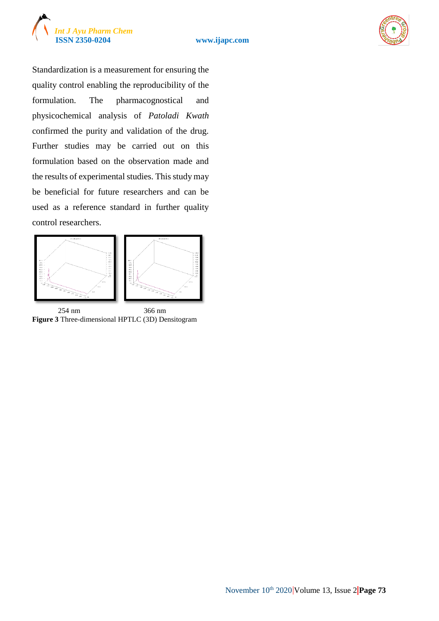



Standardization is a measurement for ensuring the quality control enabling the reproducibility of the formulation. The pharmacognostical and physicochemical analysis of *Patoladi Kwath* confirmed the purity and validation of the drug. Further studies may be carried out on this formulation based on the observation made and the results of experimental studies. This study may be beneficial for future researchers and can be used as a reference standard in further quality control researchers.



 254 nm 366 nm **Figure 3** Three-dimensional HPTLC (3D) Densitogram